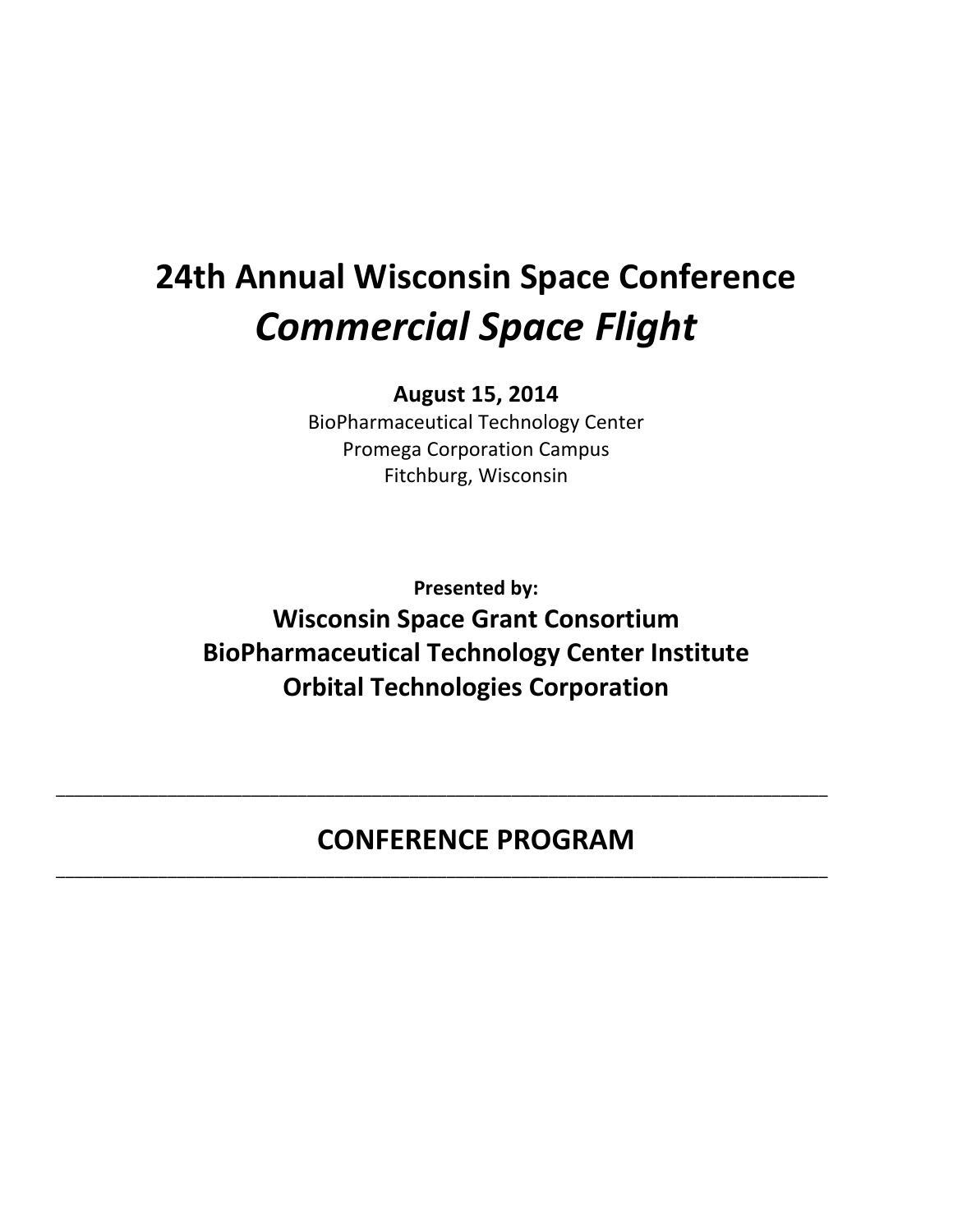# **24th Annual Wisconsin Space Conference** *Commercial Space Flight*

# **August 15, 2014**

BioPharmaceutical Technology Center Promega Corporation Campus Fitchburg, Wisconsin

**Presented by: Wisconsin Space Grant Consortium BioPharmaceutical Technology Center Institute Orbital Technologies Corporation**

# **CONFERENCE PROGRAM**

\_\_\_\_\_\_\_\_\_\_\_\_\_\_\_\_\_\_\_\_\_\_\_\_\_\_\_\_\_\_\_\_\_\_\_\_\_\_\_\_\_\_\_\_\_\_\_\_\_\_\_\_\_\_\_\_\_\_\_\_\_\_\_\_\_\_\_\_\_\_\_\_\_\_\_\_\_\_\_\_\_\_\_

\_\_\_\_\_\_\_\_\_\_\_\_\_\_\_\_\_\_\_\_\_\_\_\_\_\_\_\_\_\_\_\_\_\_\_\_\_\_\_\_\_\_\_\_\_\_\_\_\_\_\_\_\_\_\_\_\_\_\_\_\_\_\_\_\_\_\_\_\_\_\_\_\_\_\_\_\_\_\_\_\_\_\_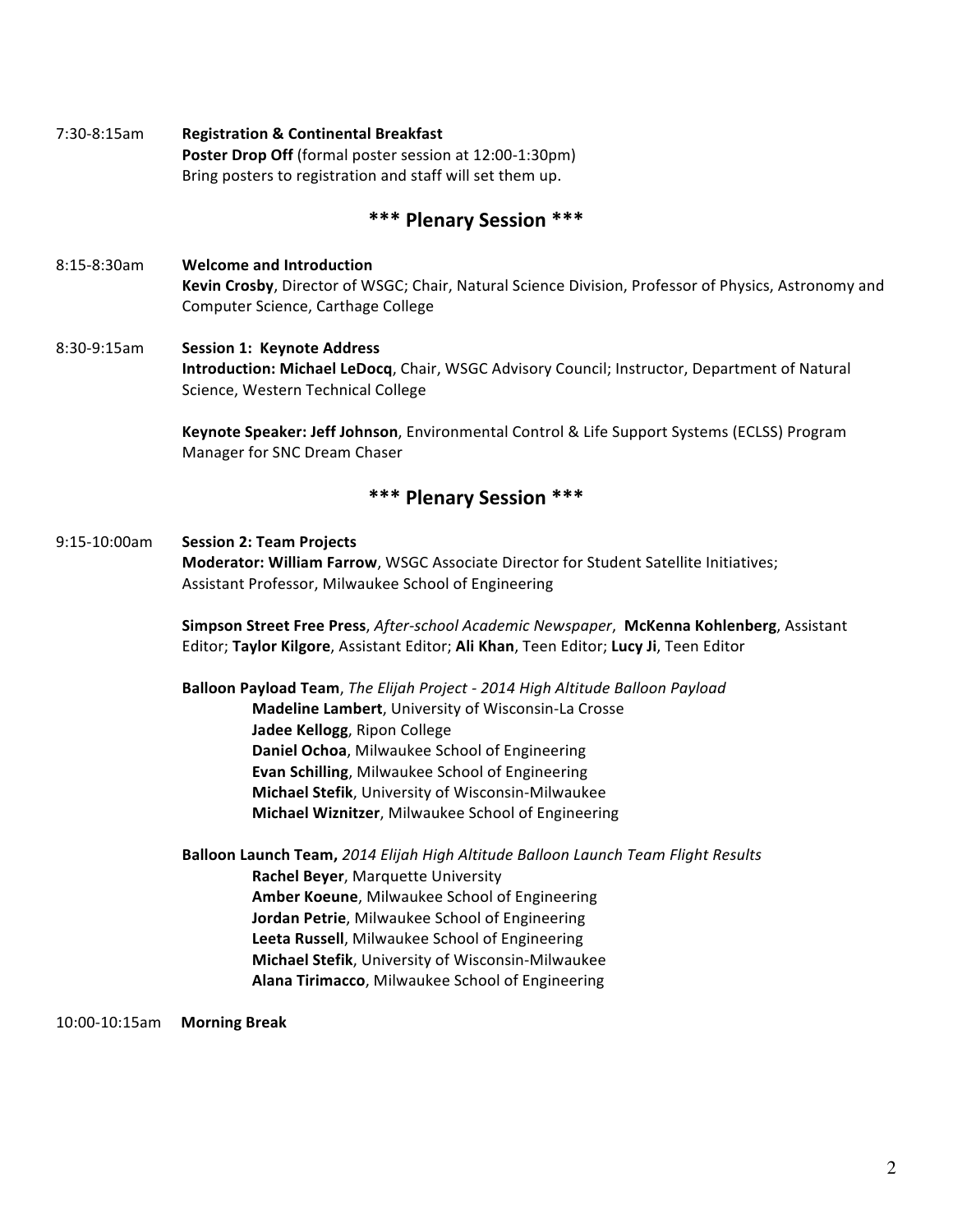7:30-8:15am **Registration & Continental Breakfast Poster Drop Off** (formal poster session at 12:00-1:30pm) Bring posters to registration and staff will set them up.

#### **\*\*\* Plenary Session \*\*\***

- 8:15-8:30am **Welcome and Introduction Kevin Crosby**, Director of WSGC; Chair, Natural Science Division, Professor of Physics, Astronomy and Computer Science, Carthage College
- 8:30-9:15am **Session 1: Keynote Address Introduction: Michael LeDocq**, Chair, WSGC Advisory Council; Instructor, Department of Natural Science, Western Technical College

**Keynote Speaker: Jeff Johnson**, Environmental Control & Life Support Systems (ECLSS) Program Manager for SNC Dream Chaser

#### **\*\*\* Plenary Session \*\*\***

#### 9:15-10:00am **Session 2: Team Projects**

**Moderator: William Farrow**, WSGC Associate Director for Student Satellite Initiatives; Assistant Professor, Milwaukee School of Engineering

**Simpson Street Free Press**, *After-school Academic Newspaper*, **McKenna Kohlenberg**, Assistant Editor; Taylor Kilgore, Assistant Editor; Ali Khan, Teen Editor; Lucy Ji, Teen Editor

**Balloon Payload Team**, *The Elijah Project - 2014 High Altitude Balloon Payload* **Madeline Lambert**, University of Wisconsin-La Crosse **Jadee Kellogg**, Ripon College **Daniel Ochoa, Milwaukee School of Engineering Evan Schilling, Milwaukee School of Engineering Michael Stefik**, University of Wisconsin-Milwaukee **Michael Wiznitzer**, Milwaukee School of Engineering

**Balloon Launch Team,** 2014 Elijah High Altitude Balloon Launch Team Flight Results **Rachel Beyer, Marquette University Amber Koeune**, Milwaukee School of Engineering **Jordan Petrie, Milwaukee School of Engineering** Leeta Russell, Milwaukee School of Engineering **Michael Stefik**, University of Wisconsin-Milwaukee **Alana Tirimacco**, Milwaukee School of Engineering

10:00-10:15am **Morning Break**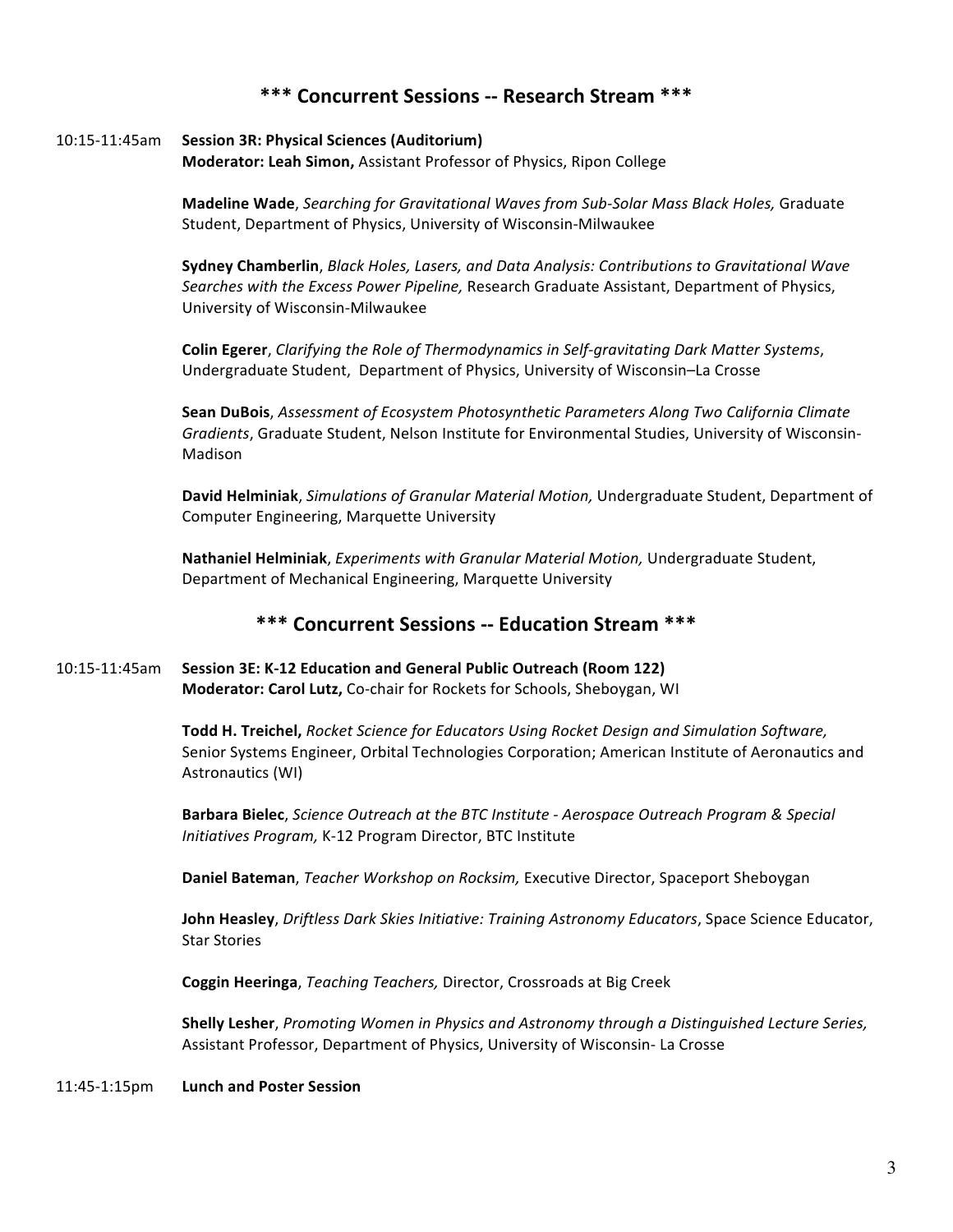# **\*\*\* Concurrent Sessions -- Research Stream \*\*\***

#### 10:15-11:45am **Session 3R: Physical Sciences (Auditorium)**

**Moderator: Leah Simon, Assistant Professor of Physics, Ripon College** 

**Madeline Wade**, *Searching for Gravitational Waves from Sub-Solar Mass Black Holes, Graduate* Student, Department of Physics, University of Wisconsin-Milwaukee

**Sydney Chamberlin**, *Black Holes, Lasers, and Data Analysis: Contributions to Gravitational Wave Searches with the Excess Power Pipeline,* Research Graduate Assistant, Department of Physics, University of Wisconsin-Milwaukee

**Colin Egerer**, *Clarifying the Role of Thermodynamics in Self-gravitating Dark Matter Systems*, Undergraduate Student, Department of Physics, University of Wisconsin–La Crosse

**Sean DuBois**, *Assessment of Ecosystem Photosynthetic Parameters Along Two California Climate* Gradients, Graduate Student, Nelson Institute for Environmental Studies, University of Wisconsin-Madison

David Helminiak, Simulations of Granular Material Motion, Undergraduate Student, Department of Computer Engineering, Marquette University

Nathaniel Helminiak, *Experiments with Granular Material Motion*, Undergraduate Student, Department of Mechanical Engineering, Marquette University

### **\*\*\* Concurrent Sessions -- Education Stream \*\*\***

#### 10:15-11:45am **Session 3E: K-12 Education and General Public Outreach (Room 122) Moderator: Carol Lutz, Co-chair for Rockets for Schools, Sheboygan, WI**

**Todd H. Treichel,** Rocket Science for Educators Using Rocket Design and Simulation Software, Senior Systems Engineer, Orbital Technologies Corporation; American Institute of Aeronautics and Astronautics (WI)

Barbara Bielec, *Science Outreach at the BTC Institute - Aerospace Outreach Program & Special Initiatives Program,* K-12 Program Director, BTC Institute

**Daniel Bateman**, *Teacher Workshop on Rocksim*, Executive Director, Spaceport Sheboygan

**John Heasley**, *Driftless Dark Skies Initiative: Training Astronomy Educators*, Space Science Educator, **Star Stories** 

**Coggin Heeringa**, *Teaching Teachers*, Director, Crossroads at Big Creek

**Shelly Lesher**, *Promoting Women in Physics and Astronomy through a Distinguished Lecture Series,* Assistant Professor, Department of Physics, University of Wisconsin- La Crosse

#### 11:45-1:15pm **Lunch and Poster Session**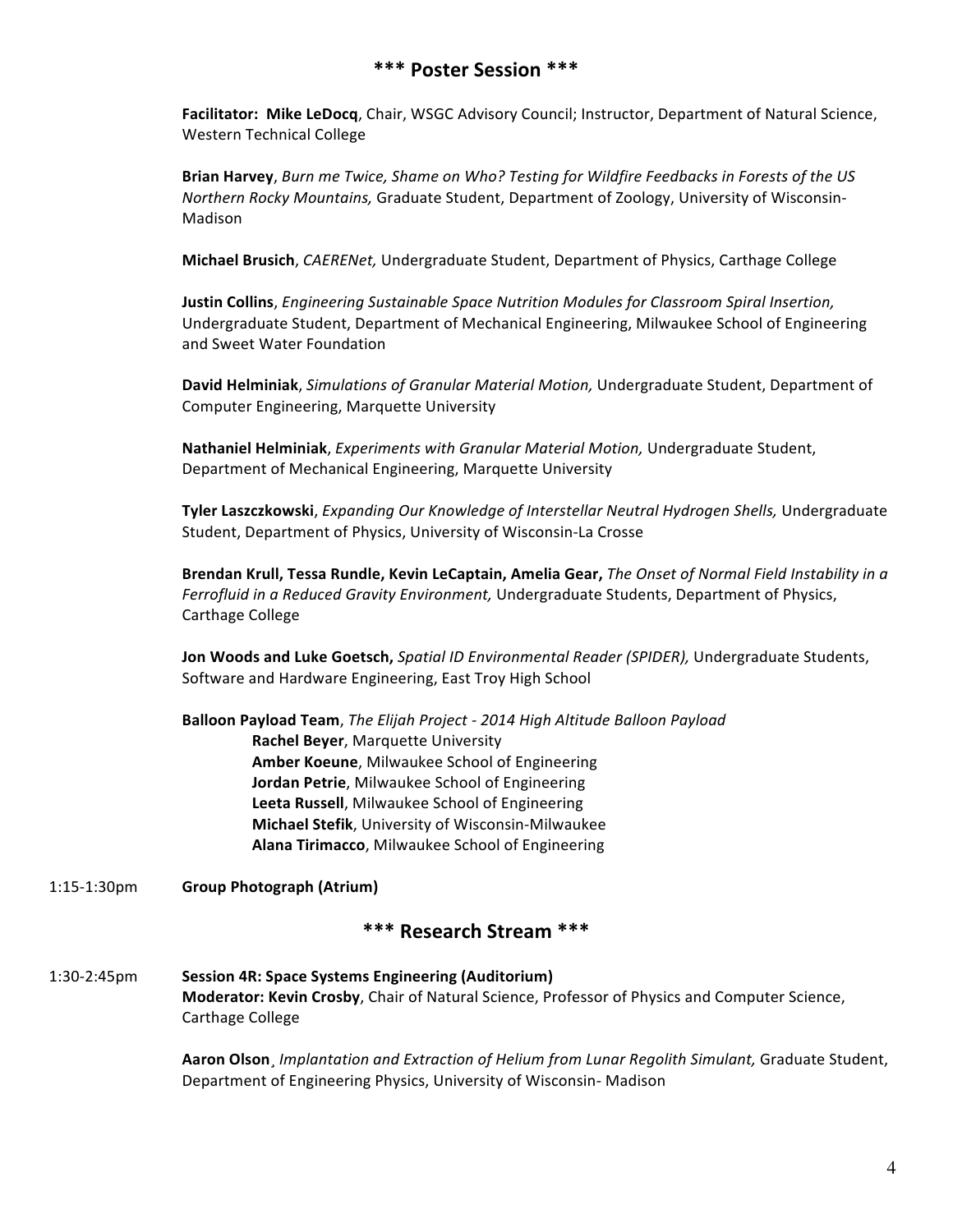# **\*\*\* Poster Session \*\*\***

**Facilitator: Mike LeDocq**, Chair, WSGC Advisory Council; Instructor, Department of Natural Science, Western Technical College

**Brian Harvey**, Burn me Twice, Shame on Who? Testing for Wildfire Feedbacks in Forests of the US *Northern Rocky Mountains, Graduate Student, Department of Zoology, University of Wisconsin-*Madison

**Michael Brusich**, *CAERENet*, Undergraduate Student, Department of Physics, Carthage College

**Justin Collins**, *Engineering Sustainable Space Nutrition Modules for Classroom Spiral Insertion,* Undergraduate Student, Department of Mechanical Engineering, Milwaukee School of Engineering and Sweet Water Foundation

David Helminiak, Simulations of Granular Material Motion, Undergraduate Student, Department of Computer Engineering, Marquette University

Nathaniel Helminiak, *Experiments with Granular Material Motion*, Undergraduate Student, Department of Mechanical Engineering, Marquette University

**Tyler Laszczkowski**, *Expanding Our Knowledge of Interstellar Neutral Hydrogen Shells,* Undergraduate Student, Department of Physics, University of Wisconsin-La Crosse

Brendan Krull, Tessa Rundle, Kevin LeCaptain, Amelia Gear, *The Onset of Normal Field Instability in a* Ferrofluid in a Reduced Gravity Environment, Undergraduate Students, Department of Physics, Carthage College

Jon Woods and Luke Goetsch, Spatial ID Environmental Reader (SPIDER), Undergraduate Students, Software and Hardware Engineering, East Troy High School

**Balloon Payload Team**, *The Elijah Project - 2014 High Altitude Balloon Payload* **Rachel Beyer, Marquette University Amber Koeune**, Milwaukee School of Engineering **Jordan Petrie, Milwaukee School of Engineering** Leeta Russell, Milwaukee School of Engineering **Michael Stefik**, University of Wisconsin-Milwaukee **Alana Tirimacco**, Milwaukee School of Engineering

1:15-1:30pm **Group Photograph (Atrium)**

# **\*\*\* Research Stream \*\*\***

1:30-2:45pm **Session 4R: Space Systems Engineering (Auditorium) Moderator: Kevin Crosby,** Chair of Natural Science, Professor of Physics and Computer Science, Carthage College

> Aaron Olson, *Implantation and Extraction of Helium from Lunar Regolith Simulant, Graduate Student,* Department of Engineering Physics, University of Wisconsin- Madison